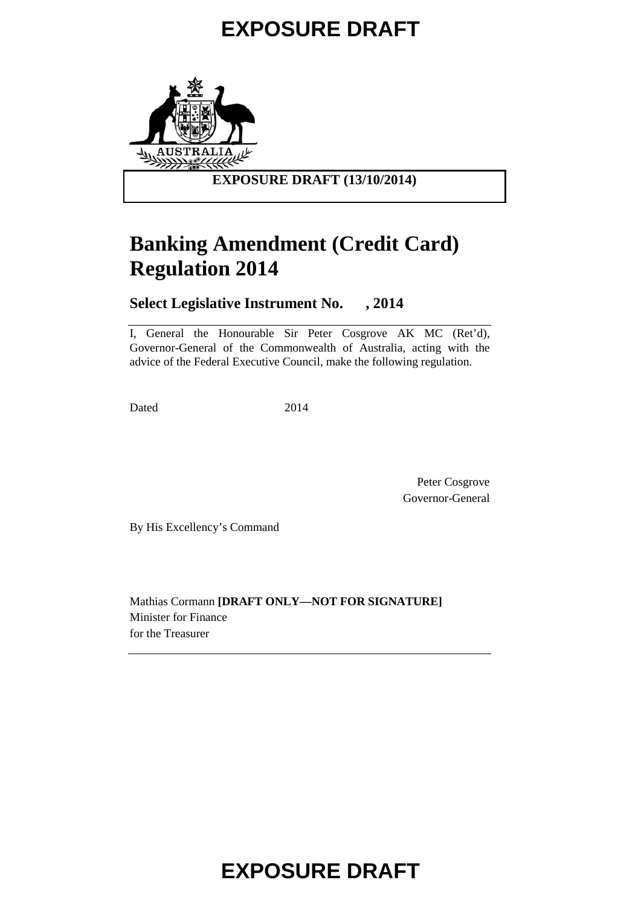

## **Banking Amendment (Credit Card) Regulation 2014**

### **Select Legislative Instrument No. , 2014**

I, General the Honourable Sir Peter Cosgrove AK MC (Ret'd), Governor-General of the Commonwealth of Australia, acting with the advice of the Federal Executive Council, make the following regulation.

Dated 2014

Peter Cosgrove Governor-General

By His Excellency's Command

Mathias Cormann **[DRAFT ONLY—NOT FOR SIGNATURE]** Minister for Finance for the Treasurer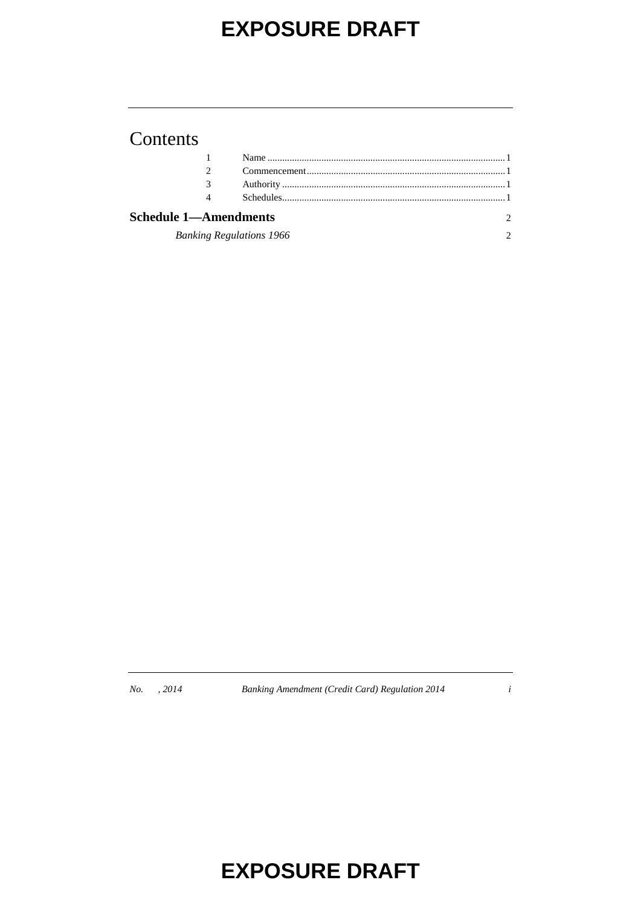### Contents

|                                 | $Commonmean$ $1$ |  |
|---------------------------------|------------------|--|
|                                 |                  |  |
| 4                               |                  |  |
| <b>Schedule 1-Amendments</b>    |                  |  |
| <b>Banking Regulations 1966</b> |                  |  |

*No. , 2014 Banking Amendment (Credit Card) Regulation 2014 i*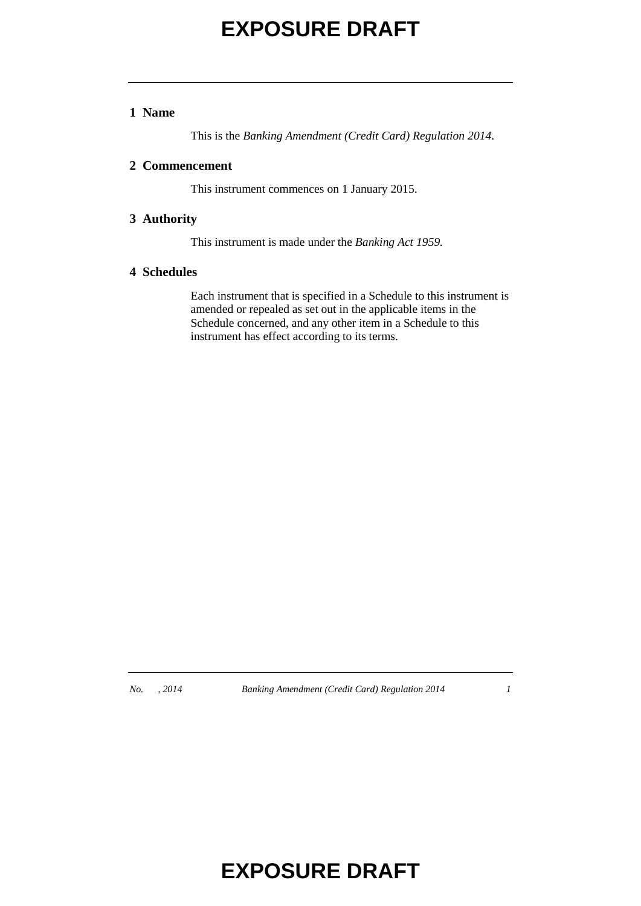#### **1 Name**

This is the *Banking Amendment (Credit Card) Regulation 2014*.

#### **2 Commencement**

This instrument commences on 1 January 2015.

#### **3 Authority**

This instrument is made under the *Banking Act 1959.*

#### **4 Schedules**

Each instrument that is specified in a Schedule to this instrument is amended or repealed as set out in the applicable items in the Schedule concerned, and any other item in a Schedule to this instrument has effect according to its terms.

*No. , 2014 Banking Amendment (Credit Card) Regulation 2014 1*